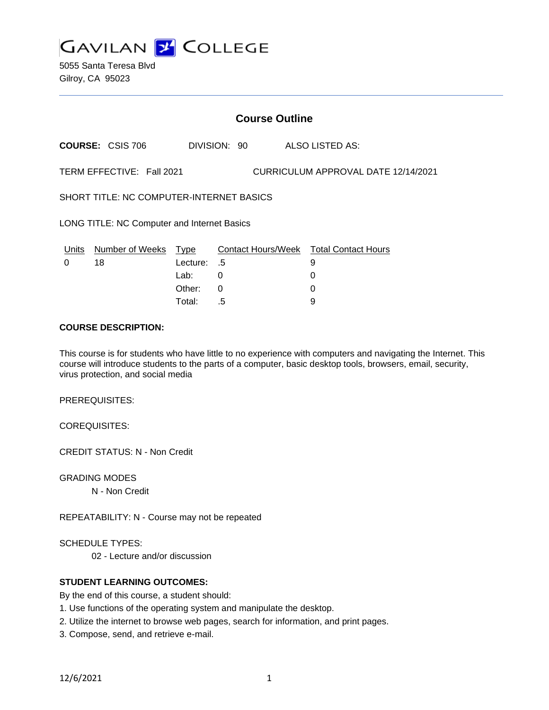

5055 Santa Teresa Blvd Gilroy, CA 95023

# **Course Outline**

**COURSE:** CSIS 706 DIVISION: 90 ALSO LISTED AS:

TERM EFFECTIVE: Fall 2021 CURRICULUM APPROVAL DATE 12/14/2021

SHORT TITLE: NC COMPUTER-INTERNET BASICS

LONG TITLE: NC Computer and Internet Basics

| Units    | Number of Weeks Type |             | Contact Hours/Week Total Contact Hours |   |
|----------|----------------------|-------------|----------------------------------------|---|
| $\Omega$ | 18                   | Lecture: .5 |                                        |   |
|          |                      | Lab:        |                                        |   |
|          |                      | Other:      |                                        |   |
|          |                      | Total:      | .5                                     | a |

#### **COURSE DESCRIPTION:**

This course is for students who have little to no experience with computers and navigating the Internet. This course will introduce students to the parts of a computer, basic desktop tools, browsers, email, security, virus protection, and social media

PREREQUISITES:

COREQUISITES:

CREDIT STATUS: N - Non Credit

GRADING MODES

N - Non Credit

REPEATABILITY: N - Course may not be repeated

SCHEDULE TYPES:

02 - Lecture and/or discussion

## **STUDENT LEARNING OUTCOMES:**

By the end of this course, a student should:

- 1. Use functions of the operating system and manipulate the desktop.
- 2. Utilize the internet to browse web pages, search for information, and print pages.
- 3. Compose, send, and retrieve e-mail.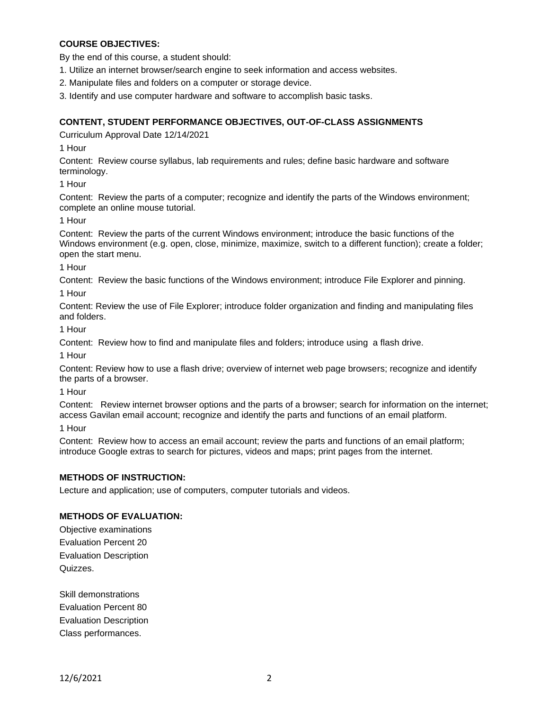# **COURSE OBJECTIVES:**

By the end of this course, a student should:

1. Utilize an internet browser/search engine to seek information and access websites.

- 2. Manipulate files and folders on a computer or storage device.
- 3. Identify and use computer hardware and software to accomplish basic tasks.

## **CONTENT, STUDENT PERFORMANCE OBJECTIVES, OUT-OF-CLASS ASSIGNMENTS**

Curriculum Approval Date 12/14/2021

1 Hour

Content: Review course syllabus, lab requirements and rules; define basic hardware and software terminology.

1 Hour

Content: Review the parts of a computer; recognize and identify the parts of the Windows environment; complete an online mouse tutorial.

1 Hour

Content: Review the parts of the current Windows environment; introduce the basic functions of the Windows environment (e.g. open, close, minimize, maximize, switch to a different function); create a folder; open the start menu.

1 Hour

Content: Review the basic functions of the Windows environment; introduce File Explorer and pinning.

1 Hour

Content: Review the use of File Explorer; introduce folder organization and finding and manipulating files and folders.

1 Hour

Content: Review how to find and manipulate files and folders; introduce using a flash drive.

1 Hour

Content: Review how to use a flash drive; overview of internet web page browsers; recognize and identify the parts of a browser.

1 Hour

Content: Review internet browser options and the parts of a browser; search for information on the internet; access Gavilan email account; recognize and identify the parts and functions of an email platform.

1 Hour

Content: Review how to access an email account; review the parts and functions of an email platform; introduce Google extras to search for pictures, videos and maps; print pages from the internet.

## **METHODS OF INSTRUCTION:**

Lecture and application; use of computers, computer tutorials and videos.

## **METHODS OF EVALUATION:**

Objective examinations Evaluation Percent 20 Evaluation Description Quizzes.

Skill demonstrations Evaluation Percent 80 Evaluation Description Class performances.